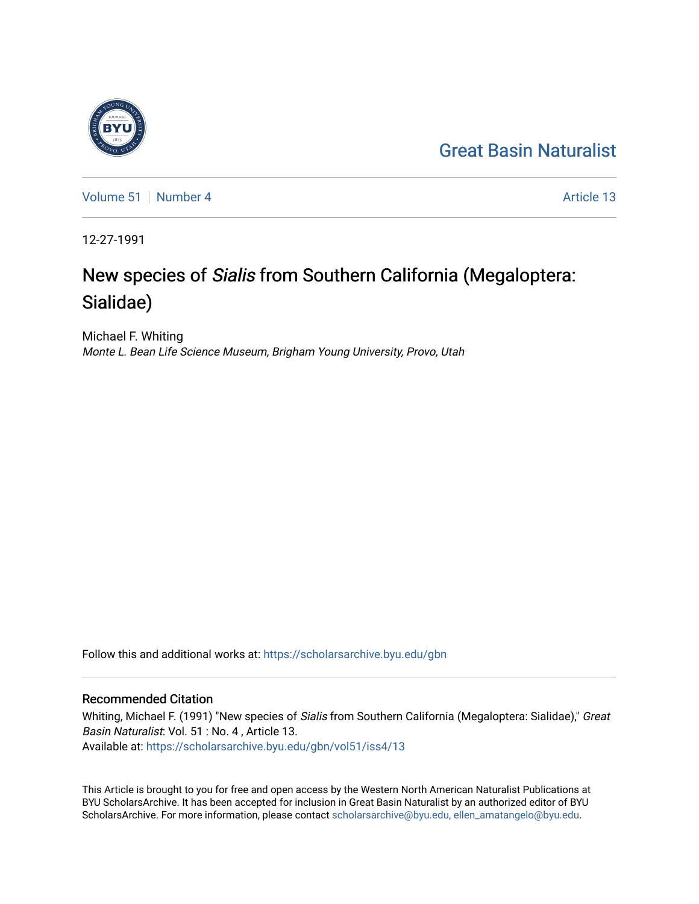## [Great Basin Naturalist](https://scholarsarchive.byu.edu/gbn)

[Volume 51](https://scholarsarchive.byu.edu/gbn/vol51) [Number 4](https://scholarsarchive.byu.edu/gbn/vol51/iss4) Article 13

12-27-1991

# New species of Sialis from Southern California (Megaloptera: Sialidae)

Michael F. Whiting Monte L. Bean Life Science Museum, Brigham Young University, Provo, Utah

Follow this and additional works at: [https://scholarsarchive.byu.edu/gbn](https://scholarsarchive.byu.edu/gbn?utm_source=scholarsarchive.byu.edu%2Fgbn%2Fvol51%2Fiss4%2F13&utm_medium=PDF&utm_campaign=PDFCoverPages) 

## Recommended Citation

Whiting, Michael F. (1991) "New species of Sialis from Southern California (Megaloptera: Sialidae)," Great Basin Naturalist: Vol. 51 : No. 4 , Article 13. Available at: [https://scholarsarchive.byu.edu/gbn/vol51/iss4/13](https://scholarsarchive.byu.edu/gbn/vol51/iss4/13?utm_source=scholarsarchive.byu.edu%2Fgbn%2Fvol51%2Fiss4%2F13&utm_medium=PDF&utm_campaign=PDFCoverPages) 

This Article is brought to you for free and open access by the Western North American Naturalist Publications at BYU ScholarsArchive. It has been accepted for inclusion in Great Basin Naturalist by an authorized editor of BYU ScholarsArchive. For more information, please contact [scholarsarchive@byu.edu, ellen\\_amatangelo@byu.edu.](mailto:scholarsarchive@byu.edu,%20ellen_amatangelo@byu.edu)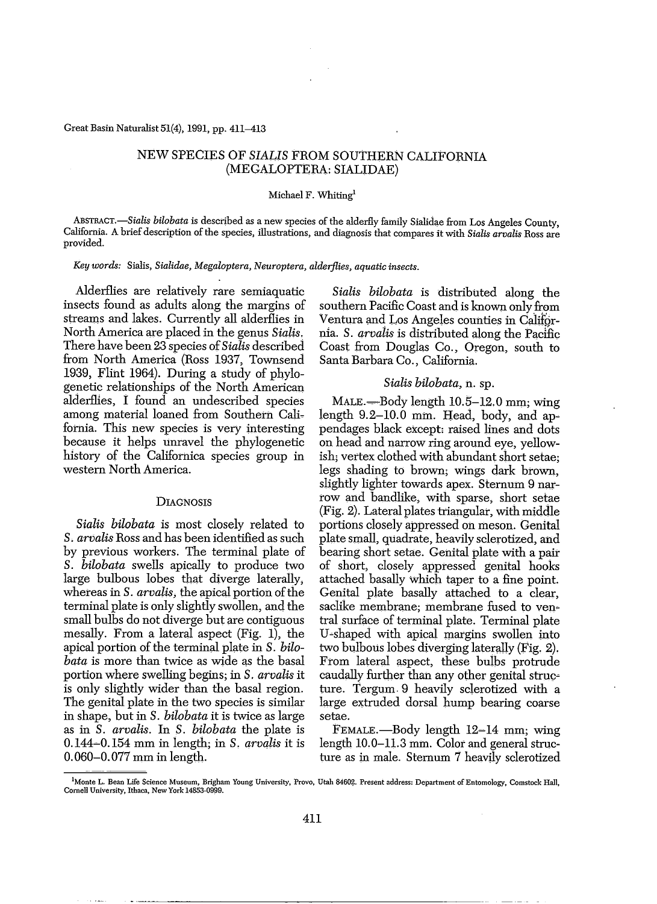Great Basin Naturalist 51(4), 1991, pp. 411-413

### NEW SPECIES OF *SIALIS* FROM SOUTHERN CALIFORNIA (MEGALOPTERA: SIALIDAE)

#### Michael F. Whiting<sup>1</sup>

*AllSTRACT.-Sialis bilobata* is described as a new species ofthe alderfly family Sialidae from Los Angeles County, California. A brief description ofthe species, illustrations, and diagnosis that compares it with *Sialis arvalis* Ross are provided.

*Key words:* Sialis, *Sialidae, Megaloptera, Neuroptera, alderflies, aquatic insects.*

Alderflies are relatively rare semiaquatic insects found as adults along the margins of streams and lakes. Currently all alderflies in North America are placed in the genus *Sialis.* There have been 23 species of*Sialis* described. from North America (Ross 1937, Townsend 1939, Flint 1964). During a study of phylogenetic relationships of the North American alderflies, I found an undescribed species among material loaned from Southern California. This new species is very interesting because it helps unravel the phylogenetic history of the Callfornica species group in western North America.

#### **DIAGNOSIS**

*Sialis bilobata* is most closely related to S. *arvalis* Ross and has been identified as such by previous workers. The terminal plate of S. *bilobata* swells apically to produce two large bulbous lobes that diverge laterally, whereas in S. *arvalis*, the apical portion of the terminal plate is only slightly swollen, and the small bulbs do not diverge but are contiguous mesally. From a lateral aspect (Fig. 1), the apical portion of the terminal plate in S. bilo*bata* is more than twice as wide as the basal portion where swelling begins; in S. *arvalis* it is only slightly wider than the basal region. The genital plate in the two species is similar in shape, but in S. *bilobata* it is twice as large as in S. *arvalis.* In S. *bilobata* the plate is 0.144~0.154 mm in length; in S. *arvalis* it is 0.060-0.077 mm in length.

*Sialis bilobata* is distributed along the southern Pacific Coast and is known only from Ventura and Los Angeles counties in California. S. *arvalis* is distributed along the Pacific Coast from Douglas Co., Oregon, south to Santa Barbara Co., California.

#### *Sialis bilobata,* n. sp.

MALE.—Body length 10.5-12.0 mm; wing length 9.2-10.0 mm. Head, body, and appendages black except: raised lines and dots on head and narrow ring around eye, yellowish; vertex clothed with abundant short setae; legs shading to brown; wings dark brown, slightly lighter towards apex. Sternum 9 narrow and bandlike, with sparse, short setae (Fig. 2). Lateral plates triangular, with middle portions closely appressed on meson. Genital plate small, quadrate, heavily sclerotized, and bearing short setae. Genital plate with a pair of short, closely appressed genital hooks attached basally which taper to a fine point. Genital plate basally attached to a clear, saclike membrane; membrane fused to ventral surface of terminal plate. Terminal plate U~shaped with apical margins swollen into two bulbous lobes diverging laterally (Fig. 2). From lateral aspect, these bulbs protrude caudally further than any other genital structure. Tergum.9 heavily sclerotized with a large extruded dorsal hump bearing coarse setae.

FEMALE.-Body length 12-14 mm; wing length 10.0-11.3 mm. Color and general structure as in male. Sternum 7 heavily sclerotized

<sup>&</sup>lt;sup>1</sup>Monte L. Bean Life Science Museum, Brigham Young University, Provo, Utah 84602. Present address: Department of Entomology, Comstock Hall, Cornell University, Ithaca, New York 14853-0999.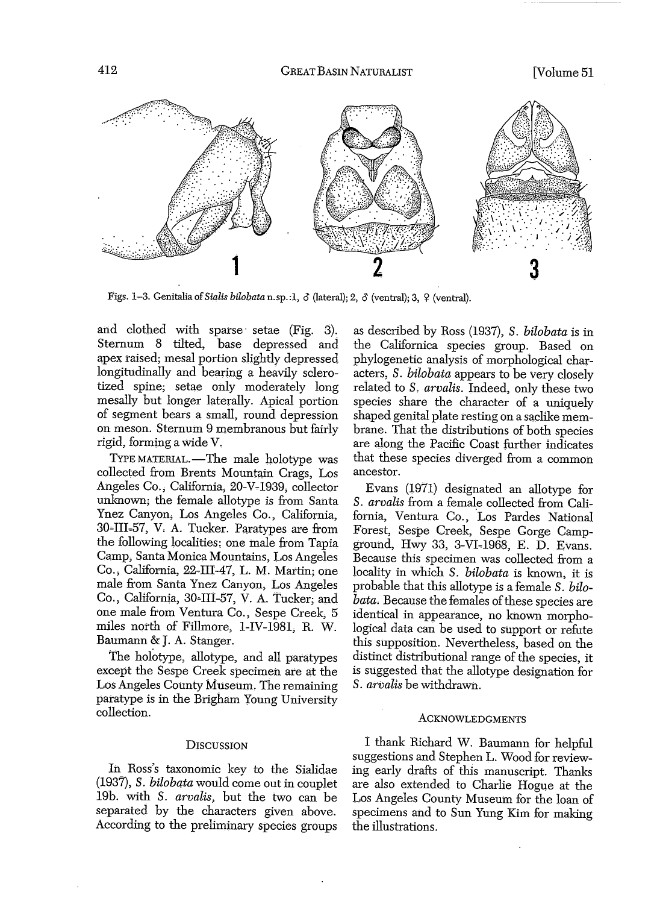

Figs. 1-3. Genitalia of *Sialis bilobata* n.sp.:1,  $\delta$  (lateral); 2,  $\delta$  (ventral); 3,  $\Omega$  (ventral).

and clothed with sparse setae (Fig. 3). Sternum 8 tilted, base depressed and. apex raised; mesal portion slightly depressed longitudinally and bearing a heavily sclerotized spine; setae only moderately long mesally but longer laterally. Apical portion of segment bears a small, round depression on meson. Sternum 9 membranous but fairly rigid, forming a wide V.

TYPE MATERIAL.-The male holotype was collected from Brents Mountain Crags, Los Angeles Co.; California, 20-V~1939; collector unknown; the female allotype is from Santa Ynez Canyon; Los Angeles Co., California, 30~III~57, V. A. Tucker. Paratypes are from the following localities: one male from Tapia Camp, Santa Monica Mountains, Los Angeles Co., California, 22-III-47, L. M. Martin; one male from Santa Ynez Canyon; Los Angeles Co., California, 30-III-57, V. A. Tucker; and one male from Ventura Co., Sespe Creek; 5 miles north of Fillmore, 1-IV-1981, R. W. Baumann & J. A. Stanger.

The holotype, allotype, and all paratypes *except* the Sespe Creek specimen are at the Los Angeles County Museum. The remaining paratype is in the Brigham Young University collection.

#### **DISCUSSION**

In Ross's taxonomic key to the Sialidae (1937), S. *bilobata* would come out in couplet 19b. with S. *arvalis,* but the two can be separated by the characters given above. According to the preliminary species groups

as described by Ross (1937), S. *bilobata* is in the Californica species group. Based on phylogenetic analysis of morphological characters, S. *bilobata* appears to be very closely related to S. *arvalis.* Indeed, only these two species share the character of a uniquely shaped genital plate resting on a saclike membrane. That the distributions of both species are along the Pacific Coast further indicates that these species diverged from a common ancestor.

Evans (1971) designated an allotype for S. *arvalis* from a female collected from California, Ventura Co., Los Pardes National Forest, Sespe Creek, Sespe Gorge Campground, Hwy 33, 3-VI-1968, E. D. Evans. Because this specimen was collected from a locality in which S. *bilobata* is known; it is probable that this allotype is a female S. *bilobata*. Because the females of these species are identical in appearance, no known morphological data can be used to support or refute this supposition. Nevertheless, based on the distinct distributional range of the species, it is suggested that the allotype designation for S. *arvalis* be withdrawn.

#### ACKNOWLEDGMENTS

1 thank Richard W. Baumann for helpful suggestions and Stephen L. Wood for reviewing early drafts of this manuscript. Thanks are also extended to Charlie Hogue at the Los Angeles County Museum for the loan of specimens and to Sun Yung Kim for making the illustrations.